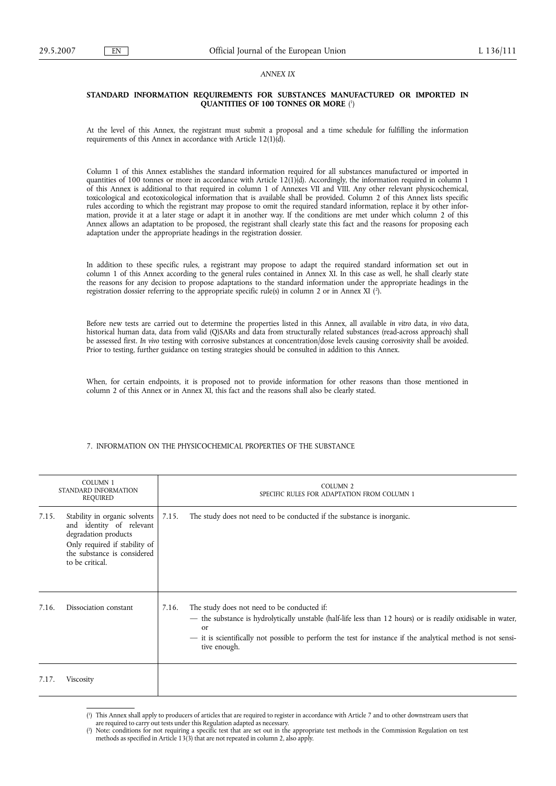#### *ANNEX IX*

### **STANDARD INFORMATION REQUIREMENTS FOR SUBSTANCES MANUFACTURED OR IMPORTED IN QUANTITIES OF 100 TONNES OR MORE** ( 1 )

At the level of this Annex, the registrant must submit a proposal and a time schedule for fulfilling the information requirements of this Annex in accordance with Article 12(1)(d).

Column 1 of this Annex establishes the standard information required for all substances manufactured or imported in quantities of 100 tonnes or more in accordance with Article 12(1)(d). Accordingly, the information required in column 1 of this Annex is additional to that required in column 1 of Annexes VII and VIII. Any other relevant physicochemical, toxicological and ecotoxicological information that is available shall be provided. Column 2 of this Annex lists specific rules according to which the registrant may propose to omit the required standard information, replace it by other information, provide it at a later stage or adapt it in another way. If the conditions are met under which column 2 of this Annex allows an adaptation to be proposed, the registrant shall clearly state this fact and the reasons for proposing each adaptation under the appropriate headings in the registration dossier.

In addition to these specific rules, a registrant may propose to adapt the required standard information set out in column 1 of this Annex according to the general rules contained in Annex XI. In this case as well, he shall clearly state the reasons for any decision to propose adaptations to the standard information under the appropriate headings in the registration dossier referring to the appropriate specific rule(s) in column 2 or in Annex XI (?).

Before new tests are carried out to determine the properties listed in this Annex, all available *in vitro* data, *in vivo* data, historical human data, data from valid (Q)SARs and data from structurally related substances (read-across approach) shall be assessed first. *In vivo* testing with corrosive substances at concentration/dose levels causing corrosivity shall be avoided. Prior to testing, further guidance on testing strategies should be consulted in addition to this Annex.

When, for certain endpoints, it is proposed not to provide information for other reasons than those mentioned in column 2 of this Annex or in Annex XI, this fact and the reasons shall also be clearly stated.

7. INFORMATION ON THE PHYSICOCHEMICAL PROPERTIES OF THE SUBSTANCE

| <b>COLUMN 1</b><br>STANDARD INFORMATION<br><b>REQUIRED</b> |                                                                                                                                                                      | <b>COLUMN 2</b><br>SPECIFIC RULES FOR ADAPTATION FROM COLUMN 1                                                                                                                                                                                                                                                       |  |  |
|------------------------------------------------------------|----------------------------------------------------------------------------------------------------------------------------------------------------------------------|----------------------------------------------------------------------------------------------------------------------------------------------------------------------------------------------------------------------------------------------------------------------------------------------------------------------|--|--|
| 7.15.                                                      | Stability in organic solvents<br>and identity of relevant<br>degradation products<br>Only required if stability of<br>the substance is considered<br>to be critical. | 7.15.<br>The study does not need to be conducted if the substance is inorganic.                                                                                                                                                                                                                                      |  |  |
| 7.16.                                                      | Dissociation constant                                                                                                                                                | The study does not need to be conducted if:<br>7.16.<br>— the substance is hydrolytically unstable (half-life less than 12 hours) or is readily oxidisable in water,<br><sub>or</sub><br>- it is scientifically not possible to perform the test for instance if the analytical method is not sensi-<br>tive enough. |  |  |
| 7.17.                                                      | Viscosity                                                                                                                                                            |                                                                                                                                                                                                                                                                                                                      |  |  |

<sup>(</sup> 1 ) This Annex shall apply to producers of articles that are required to register in accordance with Article 7 and to other downstream users that

are required to carry out tests under this Regulation adapted as necessary.

<sup>(</sup> 2 ) Note: conditions for not requiring a specific test that are set out in the appropriate test methods in the Commission Regulation on test methods as specified in Article 13(3) that are not repeated in column 2, also apply.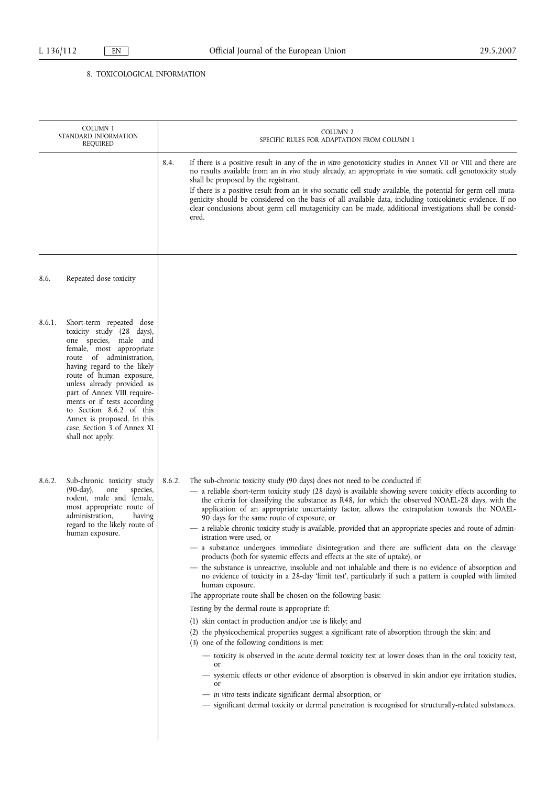# 8. TOXICOLOGICAL INFORMATION

| COLUMN 1<br>STANDARD INFORMATION<br><b>REQUIRED</b> |                                                                                                                                                                                                                                                                                                                                                                                                            | <b>COLUMN 2</b><br>SPECIFIC RULES FOR ADAPTATION FROM COLUMN 1 |                                                                                                                                                                                                                                                                                                                                                                                                                                                                                                                                                                                                                                                                                                                                                                                                                                                                                                                                                                                                                                                                                                                                                                                                                                                                                                                                                                                                                                                                                                                                                                                                                                                                                                                                                         |  |
|-----------------------------------------------------|------------------------------------------------------------------------------------------------------------------------------------------------------------------------------------------------------------------------------------------------------------------------------------------------------------------------------------------------------------------------------------------------------------|----------------------------------------------------------------|---------------------------------------------------------------------------------------------------------------------------------------------------------------------------------------------------------------------------------------------------------------------------------------------------------------------------------------------------------------------------------------------------------------------------------------------------------------------------------------------------------------------------------------------------------------------------------------------------------------------------------------------------------------------------------------------------------------------------------------------------------------------------------------------------------------------------------------------------------------------------------------------------------------------------------------------------------------------------------------------------------------------------------------------------------------------------------------------------------------------------------------------------------------------------------------------------------------------------------------------------------------------------------------------------------------------------------------------------------------------------------------------------------------------------------------------------------------------------------------------------------------------------------------------------------------------------------------------------------------------------------------------------------------------------------------------------------------------------------------------------------|--|
|                                                     |                                                                                                                                                                                                                                                                                                                                                                                                            | 8.4.                                                           | If there is a positive result in any of the <i>in vitro</i> genotoxicity studies in Annex VII or VIII and there are<br>no results available from an in vivo study already, an appropriate in vivo somatic cell genotoxicity study<br>shall be proposed by the registrant.<br>If there is a positive result from an in vivo somatic cell study available, the potential for germ cell muta-<br>genicity should be considered on the basis of all available data, including toxicokinetic evidence. If no<br>clear conclusions about germ cell mutagenicity can be made, additional investigations shall be consid-<br>ered.                                                                                                                                                                                                                                                                                                                                                                                                                                                                                                                                                                                                                                                                                                                                                                                                                                                                                                                                                                                                                                                                                                                              |  |
| 8.6.                                                | Repeated dose toxicity                                                                                                                                                                                                                                                                                                                                                                                     |                                                                |                                                                                                                                                                                                                                                                                                                                                                                                                                                                                                                                                                                                                                                                                                                                                                                                                                                                                                                                                                                                                                                                                                                                                                                                                                                                                                                                                                                                                                                                                                                                                                                                                                                                                                                                                         |  |
| 8.6.1.                                              | Short-term repeated dose<br>toxicity study (28 days),<br>one species, male and<br>female, most appropriate<br>route of administration,<br>having regard to the likely<br>route of human exposure,<br>unless already provided as<br>part of Annex VIII require-<br>ments or if tests according<br>to Section 8.6.2 of this<br>Annex is proposed. In this<br>case, Section 3 of Annex XI<br>shall not apply. |                                                                |                                                                                                                                                                                                                                                                                                                                                                                                                                                                                                                                                                                                                                                                                                                                                                                                                                                                                                                                                                                                                                                                                                                                                                                                                                                                                                                                                                                                                                                                                                                                                                                                                                                                                                                                                         |  |
| 8.6.2.                                              | Sub-chronic toxicity study<br>$(90-day)$ ,<br>species,<br>one<br>rodent, male and female,<br>most appropriate route of<br>administration,<br>having<br>regard to the likely route of<br>human exposure.                                                                                                                                                                                                    | 8.6.2.                                                         | The sub-chronic toxicity study (90 days) does not need to be conducted if:<br>- a reliable short-term toxicity study (28 days) is available showing severe toxicity effects according to<br>the criteria for classifying the substance as R48, for which the observed NOAEL-28 days, with the<br>application of an appropriate uncertainty factor, allows the extrapolation towards the NOAEL-<br>90 days for the same route of exposure, or<br>a reliable chronic toxicity study is available, provided that an appropriate species and route of admin-<br>istration were used, or<br>- a substance undergoes immediate disintegration and there are sufficient data on the cleavage<br>products (both for systemic effects and effects at the site of uptake), or<br>- the substance is unreactive, insoluble and not inhalable and there is no evidence of absorption and<br>no evidence of toxicity in a 28-day 'limit test', particularly if such a pattern is coupled with limited<br>human exposure.<br>The appropriate route shall be chosen on the following basis:<br>Testing by the dermal route is appropriate if:<br>(1) skin contact in production and/or use is likely; and<br>(2) the physicochemical properties suggest a significant rate of absorption through the skin; and<br>(3) one of the following conditions is met:<br>- toxicity is observed in the acute dermal toxicity test at lower doses than in the oral toxicity test,<br>or<br>- systemic effects or other evidence of absorption is observed in skin and/or eye irritation studies,<br>or<br>- in vitro tests indicate significant dermal absorption, or<br>- significant dermal toxicity or dermal penetration is recognised for structurally-related substances. |  |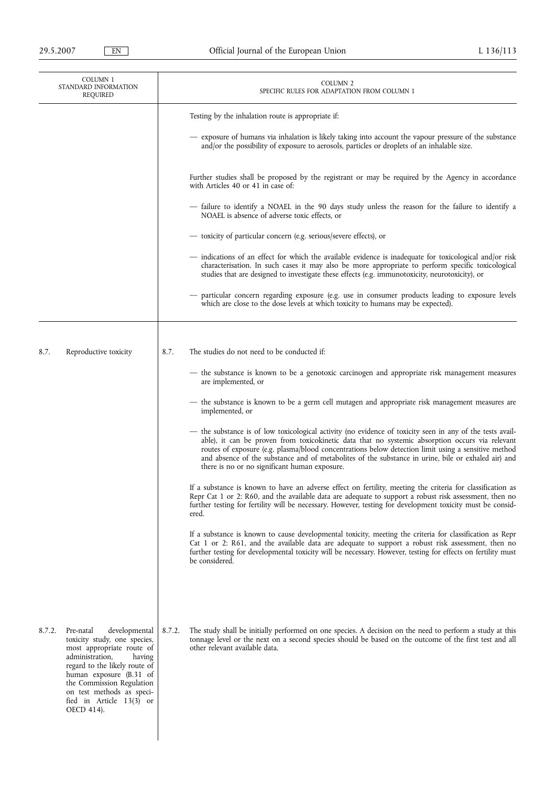| COLUMN <sub>1</sub><br>STANDARD INFORMATION<br>REQUIRED                                                                                                                                                                                                                                        |        | COLUMN <sub>2</sub><br>SPECIFIC RULES FOR ADAPTATION FROM COLUMN 1                                                                                                                                                                                                                                                                                                                                                                                                        |
|------------------------------------------------------------------------------------------------------------------------------------------------------------------------------------------------------------------------------------------------------------------------------------------------|--------|---------------------------------------------------------------------------------------------------------------------------------------------------------------------------------------------------------------------------------------------------------------------------------------------------------------------------------------------------------------------------------------------------------------------------------------------------------------------------|
|                                                                                                                                                                                                                                                                                                |        | Testing by the inhalation route is appropriate if:                                                                                                                                                                                                                                                                                                                                                                                                                        |
|                                                                                                                                                                                                                                                                                                |        | exposure of humans via inhalation is likely taking into account the vapour pressure of the substance<br>and/or the possibility of exposure to aerosols, particles or droplets of an inhalable size.                                                                                                                                                                                                                                                                       |
|                                                                                                                                                                                                                                                                                                |        | Further studies shall be proposed by the registrant or may be required by the Agency in accordance<br>with Articles 40 or 41 in case of:                                                                                                                                                                                                                                                                                                                                  |
|                                                                                                                                                                                                                                                                                                |        | - failure to identify a NOAEL in the 90 days study unless the reason for the failure to identify a<br>NOAEL is absence of adverse toxic effects, or                                                                                                                                                                                                                                                                                                                       |
|                                                                                                                                                                                                                                                                                                |        | - toxicity of particular concern (e.g. serious/severe effects), or                                                                                                                                                                                                                                                                                                                                                                                                        |
|                                                                                                                                                                                                                                                                                                |        | - indications of an effect for which the available evidence is inadequate for toxicological and/or risk<br>characterisation. In such cases it may also be more appropriate to perform specific toxicological<br>studies that are designed to investigate these effects (e.g. immunotoxicity, neurotoxicity), or                                                                                                                                                           |
|                                                                                                                                                                                                                                                                                                |        | - particular concern regarding exposure (e.g. use in consumer products leading to exposure levels<br>which are close to the dose levels at which toxicity to humans may be expected).                                                                                                                                                                                                                                                                                     |
|                                                                                                                                                                                                                                                                                                |        |                                                                                                                                                                                                                                                                                                                                                                                                                                                                           |
| 8.7.<br>Reproductive toxicity                                                                                                                                                                                                                                                                  | 8.7.   | The studies do not need to be conducted if:                                                                                                                                                                                                                                                                                                                                                                                                                               |
|                                                                                                                                                                                                                                                                                                |        | - the substance is known to be a genotoxic carcinogen and appropriate risk management measures<br>are implemented, or                                                                                                                                                                                                                                                                                                                                                     |
|                                                                                                                                                                                                                                                                                                |        | the substance is known to be a germ cell mutagen and appropriate risk management measures are<br>implemented, or                                                                                                                                                                                                                                                                                                                                                          |
|                                                                                                                                                                                                                                                                                                |        | the substance is of low toxicological activity (no evidence of toxicity seen in any of the tests avail-<br>able), it can be proven from toxicokinetic data that no systemic absorption occurs via relevant<br>routes of exposure (e.g. plasma/blood concentrations below detection limit using a sensitive method<br>and absence of the substance and of metabolites of the substance in urine, bile or exhaled air) and<br>there is no or no significant human exposure. |
|                                                                                                                                                                                                                                                                                                |        | If a substance is known to have an adverse effect on fertility, meeting the criteria for classification as<br>Repr Cat 1 or 2: R60, and the available data are adequate to support a robust risk assessment, then no<br>further testing for fertility will be necessary. However, testing for development toxicity must be consid-<br>ered.                                                                                                                               |
|                                                                                                                                                                                                                                                                                                |        | If a substance is known to cause developmental toxicity, meeting the criteria for classification as Repr<br>Cat 1 or 2: R61, and the available data are adequate to support a robust risk assessment, then no<br>further testing for developmental toxicity will be necessary. However, testing for effects on fertility must<br>be considered.                                                                                                                           |
|                                                                                                                                                                                                                                                                                                |        |                                                                                                                                                                                                                                                                                                                                                                                                                                                                           |
| 8.7.2.<br>Pre-natal<br>developmental<br>toxicity study, one species,<br>most appropriate route of<br>administration,<br>having<br>regard to the likely route of<br>human exposure (B.31 of<br>the Commission Regulation<br>on test methods as speci-<br>fied in Article 13(3) or<br>OECD 414). | 8.7.2. | The study shall be initially performed on one species. A decision on the need to perform a study at this<br>tonnage level or the next on a second species should be based on the outcome of the first test and all<br>other relevant available data.                                                                                                                                                                                                                      |
|                                                                                                                                                                                                                                                                                                |        |                                                                                                                                                                                                                                                                                                                                                                                                                                                                           |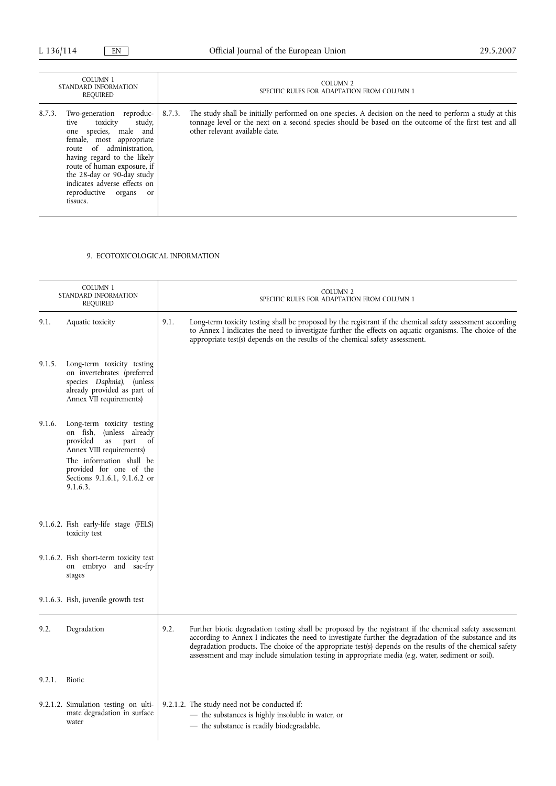| COLUMN 1<br>STANDARD INFORMATION<br>REQUIRED |                                                                                                                                                                                                                                                                                                                               | COLUMN <sub>2</sub><br>SPECIFIC RULES FOR ADAPTATION FROM COLUMN 1 |                                                                                                                                                                                                                                                      |
|----------------------------------------------|-------------------------------------------------------------------------------------------------------------------------------------------------------------------------------------------------------------------------------------------------------------------------------------------------------------------------------|--------------------------------------------------------------------|------------------------------------------------------------------------------------------------------------------------------------------------------------------------------------------------------------------------------------------------------|
| 8.7.3.                                       | Two-generation reproduc-<br>toxicity<br>study,<br>tive<br>species, male and<br>one<br>female, most appropriate<br>route of administration,<br>having regard to the likely<br>route of human exposure, if<br>the 28-day or 90-day study<br>indicates adverse effects on<br>reproductive<br>organs<br><sub>or</sub><br>tissues. | 8.7.3.                                                             | The study shall be initially performed on one species. A decision on the need to perform a study at this<br>tonnage level or the next on a second species should be based on the outcome of the first test and all<br>other relevant available date. |

## 9. ECOTOXICOLOGICAL INFORMATION

| <b>COLUMN 1</b><br>STANDARD INFORMATION<br>REQUIRED |                                                                                                                                                                                                                           |      | <b>COLUMN 2</b><br>SPECIFIC RULES FOR ADAPTATION FROM COLUMN 1                                                                                                                                                                                                                                                                                                                                                                         |
|-----------------------------------------------------|---------------------------------------------------------------------------------------------------------------------------------------------------------------------------------------------------------------------------|------|----------------------------------------------------------------------------------------------------------------------------------------------------------------------------------------------------------------------------------------------------------------------------------------------------------------------------------------------------------------------------------------------------------------------------------------|
| 9.1.                                                | Aquatic toxicity                                                                                                                                                                                                          | 9.1. | Long-term toxicity testing shall be proposed by the registrant if the chemical safety assessment according<br>to Annex I indicates the need to investigate further the effects on aquatic organisms. The choice of the<br>appropriate test(s) depends on the results of the chemical safety assessment.                                                                                                                                |
| 9.1.5.                                              | Long-term toxicity testing<br>on invertebrates (preferred<br>species Daphnia), (unless<br>already provided as part of<br>Annex VII requirements)                                                                          |      |                                                                                                                                                                                                                                                                                                                                                                                                                                        |
| 9.1.6.                                              | Long-term toxicity testing<br>on fish,<br>(unless already)<br>provided<br>part<br>as<br>of<br>Annex VIII requirements)<br>The information shall be<br>provided for one of the<br>Sections 9.1.6.1, 9.1.6.2 or<br>9.1.6.3. |      |                                                                                                                                                                                                                                                                                                                                                                                                                                        |
|                                                     | 9.1.6.2. Fish early-life stage (FELS)<br>toxicity test                                                                                                                                                                    |      |                                                                                                                                                                                                                                                                                                                                                                                                                                        |
|                                                     | 9.1.6.2. Fish short-term toxicity test<br>on embryo and sac-fry<br>stages                                                                                                                                                 |      |                                                                                                                                                                                                                                                                                                                                                                                                                                        |
|                                                     | 9.1.6.3. Fish, juvenile growth test                                                                                                                                                                                       |      |                                                                                                                                                                                                                                                                                                                                                                                                                                        |
| 9.2.                                                | Degradation                                                                                                                                                                                                               | 9.2. | Further biotic degradation testing shall be proposed by the registrant if the chemical safety assessment<br>according to Annex I indicates the need to investigate further the degradation of the substance and its<br>degradation products. The choice of the appropriate test(s) depends on the results of the chemical safety<br>assessment and may include simulation testing in appropriate media (e.g. water, sediment or soil). |
| 9.2.1.                                              | <b>Biotic</b>                                                                                                                                                                                                             |      |                                                                                                                                                                                                                                                                                                                                                                                                                                        |
|                                                     | 9.2.1.2. Simulation testing on ulti-<br>mate degradation in surface<br>water                                                                                                                                              |      | 9.2.1.2. The study need not be conducted if:<br>- the substances is highly insoluble in water, or<br>- the substance is readily biodegradable.                                                                                                                                                                                                                                                                                         |